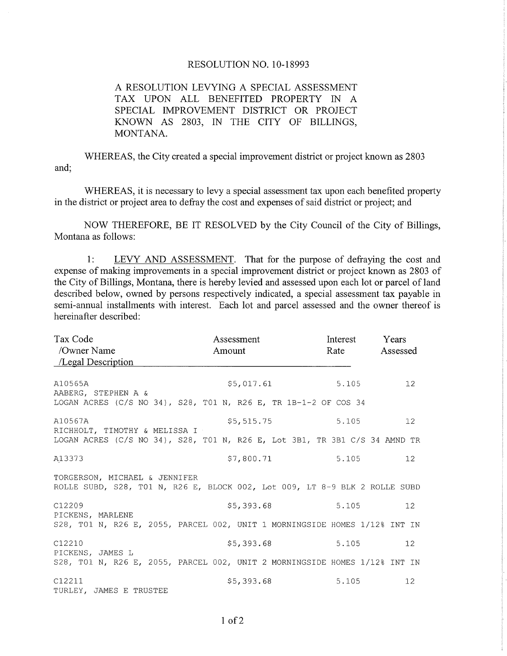## RESOLUTION NO. 1O-18993

A RESOLUTION LEVYING A SPECIAL ASSESSMENT TAX UPON ALL BENEFITED PROPERTY IN A SPECIAL IMPROVEMENT DISTRICT OR PROJECT KNOWN AS 2803, IN THE CITY OF BILLINGS, MONTANA.

WHEREAS, the City created a special improvement district or project known as 2803 and;

WHEREAS, it is necessary to levy a special assessment tax upon each benefited property in the district or project area to defray the cost and expenses of said district or project; and

NOW THEREFORE, BE IT RESOLVED by the City Council of the City of Billings, Montana as follows:

1: LEVY AND ASSESSMENT. That for the purpose of defraying the cost and expense of making improvements in a special improvement district or project known as 2803 of the City of Billings, Montana, there is hereby levied and assessed upon each lot or parcel of land described below, owned by persons respectively indicated, a special assessment tax payable in semi-annual installments with interest. Each lot and parcel assessed and the owner thereof is hereinafter described:

| Tax Code<br>/Owner Name<br>/Legal Description                                                                          | Assessment<br>Amount | Interest<br>Rate | Years<br>Assessed |
|------------------------------------------------------------------------------------------------------------------------|----------------------|------------------|-------------------|
| A10565A<br>AABERG, STEPHEN A &<br>LOGAN ACRES (C/S NO 34), S28, T01 N, R26 E, TR 1B-1-2 OF COS 34                      | \$5,017.61 5.105     |                  | 12                |
| A10567A<br>RICHHOLT, TIMOTHY & MELISSA I<br>LOGAN ACRES (C/S NO 34), S28, T01 N, R26 E, Lot 3B1, TR 3B1 C/S 34 AMND TR | \$5,515.75           | 5.105            | 12 <sup>°</sup>   |
| A13373                                                                                                                 | \$7,800.71           | 5.105            | 12 <sup>7</sup>   |
| TORGERSON, MICHAEL & JENNIFER<br>ROLLE SUBD, S28, T01 N, R26 E, BLOCK 002, Lot 009, LT 8-9 BLK 2 ROLLE SUBD            |                      |                  |                   |
| C12209                                                                                                                 | \$5,393.68           | 5.105            | 12 <sup>7</sup>   |
| PICKENS, MARLENE<br>S28, T01 N, R26 E, 2055, PARCEL 002, UNIT 1 MORNINGSIDE HOMES 1/12% INT IN                         |                      |                  |                   |
| C12210                                                                                                                 | \$5,393.68           | 5.105            | 12 <sup>1</sup>   |
| PICKENS, JAMES L<br>S28, TO1 N, R26 E, 2055, PARCEL 002, UNIT 2 MORNINGSIDE HOMES 1/12% INT IN                         |                      |                  |                   |
| C12211<br>TURLEY, JAMES E TRUSTEE                                                                                      | \$5,393.68           | 5.105            | 12 <sup>°</sup>   |